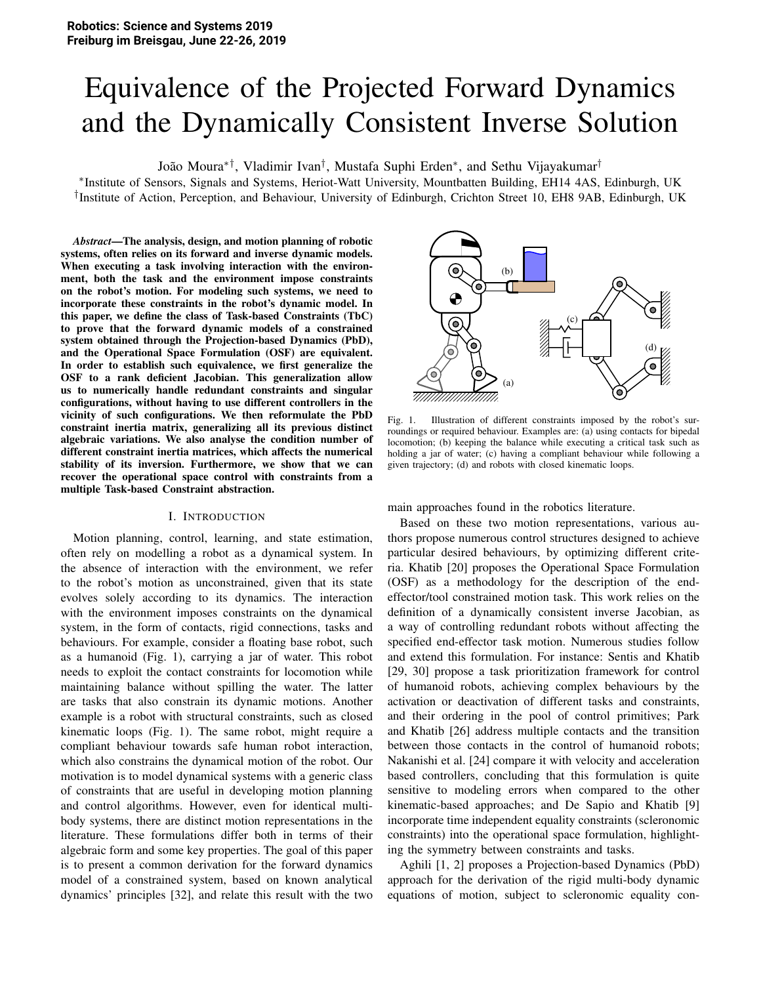# Equivalence of the Projected Forward Dynamics and the Dynamically Consistent Inverse Solution

João Moura<sup>∗†</sup>, Vladimir Ivan<sup>†</sup>, Mustafa Suphi Erden<sup>∗</sup>, and Sethu Vijayakumar<sup>†</sup>

∗ Institute of Sensors, Signals and Systems, Heriot-Watt University, Mountbatten Building, EH14 4AS, Edinburgh, UK † Institute of Action, Perception, and Behaviour, University of Edinburgh, Crichton Street 10, EH8 9AB, Edinburgh, UK

*Abstract*—The analysis, design, and motion planning of robotic systems, often relies on its forward and inverse dynamic models. When executing a task involving interaction with the environment, both the task and the environment impose constraints on the robot's motion. For modeling such systems, we need to incorporate these constraints in the robot's dynamic model. In this paper, we define the class of Task-based Constraints (TbC) to prove that the forward dynamic models of a constrained system obtained through the Projection-based Dynamics (PbD), and the Operational Space Formulation (OSF) are equivalent. In order to establish such equivalence, we first generalize the OSF to a rank deficient Jacobian. This generalization allow us to numerically handle redundant constraints and singular configurations, without having to use different controllers in the vicinity of such configurations. We then reformulate the PbD constraint inertia matrix, generalizing all its previous distinct algebraic variations. We also analyse the condition number of different constraint inertia matrices, which affects the numerical stability of its inversion. Furthermore, we show that we can recover the operational space control with constraints from a multiple Task-based Constraint abstraction.

## I. INTRODUCTION

Motion planning, control, learning, and state estimation, often rely on modelling a robot as a dynamical system. In the absence of interaction with the environment, we refer to the robot's motion as unconstrained, given that its state evolves solely according to its dynamics. The interaction with the environment imposes constraints on the dynamical system, in the form of contacts, rigid connections, tasks and behaviours. For example, consider a floating base robot, such as a humanoid (Fig. 1), carrying a jar of water. This robot needs to exploit the contact constraints for locomotion while maintaining balance without spilling the water. The latter are tasks that also constrain its dynamic motions. Another example is a robot with structural constraints, such as closed kinematic loops (Fig. 1). The same robot, might require a compliant behaviour towards safe human robot interaction, which also constrains the dynamical motion of the robot. Our motivation is to model dynamical systems with a generic class of constraints that are useful in developing motion planning and control algorithms. However, even for identical multibody systems, there are distinct motion representations in the literature. These formulations differ both in terms of their algebraic form and some key properties. The goal of this paper is to present a common derivation for the forward dynamics model of a constrained system, based on known analytical dynamics' principles [32], and relate this result with the two



Fig. 1. Illustration of different constraints imposed by the robot's surroundings or required behaviour. Examples are: (a) using contacts for bipedal locomotion; (b) keeping the balance while executing a critical task such as holding a jar of water; (c) having a compliant behaviour while following a given trajectory; (d) and robots with closed kinematic loops.

main approaches found in the robotics literature.

Based on these two motion representations, various authors propose numerous control structures designed to achieve particular desired behaviours, by optimizing different criteria. Khatib [20] proposes the Operational Space Formulation (OSF) as a methodology for the description of the endeffector/tool constrained motion task. This work relies on the definition of a dynamically consistent inverse Jacobian, as a way of controlling redundant robots without affecting the specified end-effector task motion. Numerous studies follow and extend this formulation. For instance: Sentis and Khatib [29, 30] propose a task prioritization framework for control of humanoid robots, achieving complex behaviours by the activation or deactivation of different tasks and constraints, and their ordering in the pool of control primitives; Park and Khatib [26] address multiple contacts and the transition between those contacts in the control of humanoid robots; Nakanishi et al. [24] compare it with velocity and acceleration based controllers, concluding that this formulation is quite sensitive to modeling errors when compared to the other kinematic-based approaches; and De Sapio and Khatib [9] incorporate time independent equality constraints (scleronomic constraints) into the operational space formulation, highlighting the symmetry between constraints and tasks.

Aghili [1, 2] proposes a Projection-based Dynamics (PbD) approach for the derivation of the rigid multi-body dynamic equations of motion, subject to scleronomic equality con-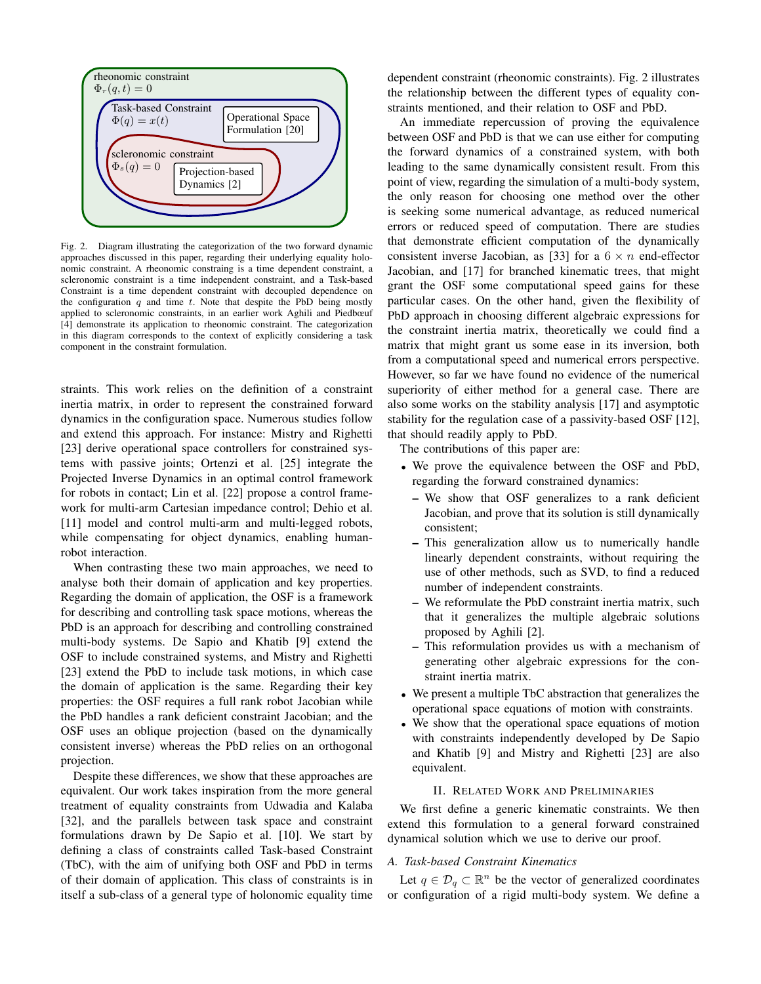

Fig. 2. Diagram illustrating the categorization of the two forward dynamic approaches discussed in this paper, regarding their underlying equality holonomic constraint. A rheonomic constraing is a time dependent constraint, a scleronomic constraint is a time independent constraint, and a Task-based Constraint is a time dependent constraint with decoupled dependence on the configuration  $q$  and time  $t$ . Note that despite the PbD being mostly applied to scleronomic constraints, in an earlier work Aghili and Piedbœuf [4] demonstrate its application to rheonomic constraint. The categorization in this diagram corresponds to the context of explicitly considering a task component in the constraint formulation.

straints. This work relies on the definition of a constraint inertia matrix, in order to represent the constrained forward dynamics in the configuration space. Numerous studies follow and extend this approach. For instance: Mistry and Righetti [23] derive operational space controllers for constrained systems with passive joints; Ortenzi et al. [25] integrate the Projected Inverse Dynamics in an optimal control framework for robots in contact; Lin et al. [22] propose a control framework for multi-arm Cartesian impedance control; Dehio et al. [11] model and control multi-arm and multi-legged robots, while compensating for object dynamics, enabling humanrobot interaction.

When contrasting these two main approaches, we need to analyse both their domain of application and key properties. Regarding the domain of application, the OSF is a framework for describing and controlling task space motions, whereas the PbD is an approach for describing and controlling constrained multi-body systems. De Sapio and Khatib [9] extend the OSF to include constrained systems, and Mistry and Righetti [23] extend the PbD to include task motions, in which case the domain of application is the same. Regarding their key properties: the OSF requires a full rank robot Jacobian while the PbD handles a rank deficient constraint Jacobian; and the OSF uses an oblique projection (based on the dynamically consistent inverse) whereas the PbD relies on an orthogonal projection.

Despite these differences, we show that these approaches are equivalent. Our work takes inspiration from the more general treatment of equality constraints from Udwadia and Kalaba [32], and the parallels between task space and constraint formulations drawn by De Sapio et al. [10]. We start by defining a class of constraints called Task-based Constraint (TbC), with the aim of unifying both OSF and PbD in terms of their domain of application. This class of constraints is in itself a sub-class of a general type of holonomic equality time

dependent constraint (rheonomic constraints). Fig. 2 illustrates the relationship between the different types of equality constraints mentioned, and their relation to OSF and PbD.

An immediate repercussion of proving the equivalence between OSF and PbD is that we can use either for computing the forward dynamics of a constrained system, with both leading to the same dynamically consistent result. From this point of view, regarding the simulation of a multi-body system, the only reason for choosing one method over the other is seeking some numerical advantage, as reduced numerical errors or reduced speed of computation. There are studies that demonstrate efficient computation of the dynamically consistent inverse Jacobian, as [33] for a  $6 \times n$  end-effector Jacobian, and [17] for branched kinematic trees, that might grant the OSF some computational speed gains for these particular cases. On the other hand, given the flexibility of PbD approach in choosing different algebraic expressions for the constraint inertia matrix, theoretically we could find a matrix that might grant us some ease in its inversion, both from a computational speed and numerical errors perspective. However, so far we have found no evidence of the numerical superiority of either method for a general case. There are also some works on the stability analysis [17] and asymptotic stability for the regulation case of a passivity-based OSF [12], that should readily apply to PbD.

The contributions of this paper are:

- We prove the equivalence between the OSF and PbD, regarding the forward constrained dynamics:
	- We show that OSF generalizes to a rank deficient Jacobian, and prove that its solution is still dynamically consistent;
	- This generalization allow us to numerically handle linearly dependent constraints, without requiring the use of other methods, such as SVD, to find a reduced number of independent constraints.
	- We reformulate the PbD constraint inertia matrix, such that it generalizes the multiple algebraic solutions proposed by Aghili [2].
	- This reformulation provides us with a mechanism of generating other algebraic expressions for the constraint inertia matrix.
- We present a multiple TbC abstraction that generalizes the operational space equations of motion with constraints.
- We show that the operational space equations of motion with constraints independently developed by De Sapio and Khatib [9] and Mistry and Righetti [23] are also equivalent.

## **II. RELATED WORK AND PRELIMINARIES**

We first define a generic kinematic constraints. We then extend this formulation to a general forward constrained dynamical solution which we use to derive our proof.

## A. Task-based Constraint Kinematics

Let  $q \in \mathcal{D}_q \subset \mathbb{R}^n$  be the vector of generalized coordinates or configuration of a rigid multi-body system. We define a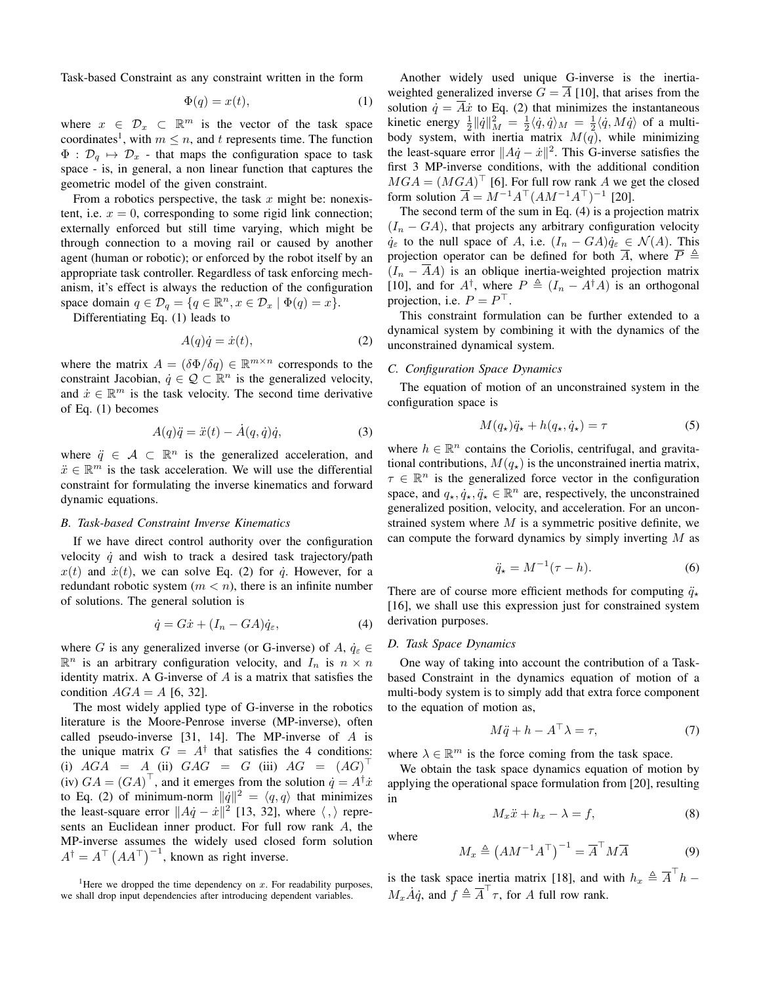Task-based Constraint as any constraint written in the form

$$
\Phi(q) = x(t),\tag{1}
$$

where  $x \in \mathcal{D}_x \subset \mathbb{R}^m$  is the vector of the task space coordinates<sup>1</sup>, with  $m \leq n$ , and t represents time. The function  $\Phi : \mathcal{D}_q \mapsto \mathcal{D}_x$  - that maps the configuration space to task space - is, in general, a non linear function that captures the geometric model of the given constraint.

From a robotics perspective, the task  $x$  might be: nonexistent, i.e.  $x = 0$ , corresponding to some rigid link connection; externally enforced but still time varying, which might be through connection to a moving rail or caused by another agent (human or robotic); or enforced by the robot itself by an appropriate task controller. Regardless of task enforcing mechanism, it's effect is always the reduction of the configuration space domain  $q \in \mathcal{D}_q = \{q \in \mathbb{R}^n, x \in \mathcal{D}_x \mid \Phi(q) = x\}.$ 

Differentiating Eq.  $(1)$  leads to

$$
A(q)\dot{q} = \dot{x}(t),\tag{2}
$$

where the matrix  $A = (\delta \Phi / \delta q) \in \mathbb{R}^{m \times n}$  corresponds to the constraint Jacobian,  $\dot{q} \in \mathcal{Q} \subset \mathbb{R}^n$  is the generalized velocity, and  $\dot{x} \in \mathbb{R}^m$  is the task velocity. The second time derivative of Eq.  $(1)$  becomes

$$
A(q)\ddot{q} = \ddot{x}(t) - A(q, \dot{q})\dot{q},\tag{3}
$$

where  $\ddot{q} \in \mathcal{A} \subset \mathbb{R}^n$  is the generalized acceleration, and  $\ddot{x} \in \mathbb{R}^m$  is the task acceleration. We will use the differential constraint for formulating the inverse kinematics and forward dynamic equations.

#### **B.** Task-based Constraint Inverse Kinematics

If we have direct control authority over the configuration velocity  $\dot{q}$  and wish to track a desired task trajectory/path  $x(t)$  and  $\dot{x}(t)$ , we can solve Eq. (2) for  $\dot{q}$ . However, for a redundant robotic system  $(m < n)$ , there is an infinite number of solutions. The general solution is

$$
\dot{q} = G\dot{x} + (I_n - GA)\dot{q}_{\varepsilon},\tag{4}
$$

where G is any generalized inverse (or G-inverse) of A,  $\dot{q}_{\varepsilon} \in$  $\mathbb{R}^n$  is an arbitrary configuration velocity, and  $I_n$  is  $n \times n$ identity matrix. A G-inverse of  $A$  is a matrix that satisfies the condition  $AGA = A$  [6, 32].

The most widely applied type of G-inverse in the robotics literature is the Moore-Penrose inverse (MP-inverse), often called pseudo-inverse  $[31, 14]$ . The MP-inverse of A is the unique matrix  $G = A^{\dagger}$  that satisfies the 4 conditions: (i)  $AGA = A$  (ii)  $GAG = G$  (iii)  $AG = (AG)$ (iv)  $GA = (GA)^{\top}$ , and it emerges from the solution  $\dot{q} = A^{\dagger} \dot{x}$ to Eq. (2) of minimum-norm  $\|\dot{q}\|^2 = \langle q, q \rangle$  that minimizes the least-square error  $||A\dot{q} - \dot{x}||^2$  [13, 32], where  $\langle , \rangle$  represents an Euclidean inner product. For full row rank A, the MP-inverse assumes the widely used closed form solution  $A^{\dagger} = A^{\dagger} (AA^{\dagger})^{-1}$ , known as right inverse.

<sup>1</sup>Here we dropped the time dependency on  $x$ . For readability purposes, we shall drop input dependencies after introducing dependent variables.

Another widely used unique G-inverse is the inertiaweighted generalized inverse  $G = \overline{A}$  [10], that arises from the solution  $\dot{q} = \overline{A}\dot{x}$  to Eq. (2) that minimizes the instantaneous kinetic energy  $\frac{1}{2} ||\dot{q}||_M^2 = \frac{1}{2} \langle \dot{q}, \dot{q} \rangle_M = \frac{1}{2} \langle \dot{q}, M \dot{q} \rangle$  of a multibody system, with inertia matrix  $M(q)$ , while minimizing the least-square error  $||A\dot{q} - \dot{x}||^2$ . This G-inverse satisfies the first 3 MP-inverse conditions, with the additional condition  $MGA = (MGA)^{\top}$  [6]. For full row rank A we get the closed form solution  $\overline{A} = M^{-1}A^{\top} (AM^{-1}A^{\top})^{-1}$  [20].

The second term of the sum in Eq.  $(4)$  is a projection matrix  $(I_n - GA)$ , that projects any arbitrary configuration velocity  $\dot{q}_{\varepsilon}$  to the null space of A, i.e.  $(I_n - GA)\dot{q}_{\varepsilon} \in \mathcal{N}(A)$ . This projection operator can be defined for both  $\overline{A}$ , where  $\overline{P} \triangleq$  $(I_n - \overline{A}A)$  is an oblique inertia-weighted projection matrix [10], and for  $A^{\dagger}$ , where  $P \triangleq (I_n - A^{\dagger}A)$  is an orthogonal projection, i.e.  $P = P^{\top}$ .

This constraint formulation can be further extended to a dynamical system by combining it with the dynamics of the unconstrained dynamical system.

## C. Configuration Space Dynamics

The equation of motion of an unconstrained system in the configuration space is

$$
M(q_{\star})\ddot{q}_{\star} + h(q_{\star}, \dot{q}_{\star}) = \tau \tag{5}
$$

where  $h \in \mathbb{R}^n$  contains the Coriolis, centrifugal, and gravitational contributions,  $M(q_{\star})$  is the unconstrained inertia matrix,  $\tau \in \mathbb{R}^n$  is the generalized force vector in the configuration space, and  $q_{\star}, \dot{q}_{\star}, \ddot{q}_{\star} \in \mathbb{R}^{n}$  are, respectively, the unconstrained generalized position, velocity, and acceleration. For an unconstrained system where  $M$  is a symmetric positive definite, we can compute the forward dynamics by simply inverting  $M$  as

$$
\ddot{q}_{\star} = M^{-1}(\tau - h). \tag{6}
$$

There are of course more efficient methods for computing  $\ddot{q}_*$ [16], we shall use this expression just for constrained system derivation purposes.

# D. Task Space Dynamics

One way of taking into account the contribution of a Taskbased Constraint in the dynamics equation of motion of a multi-body system is to simply add that extra force component to the equation of motion as,

$$
M\ddot{q} + h - A^{\top}\lambda = \tau,\tag{7}
$$

where  $\lambda \in \mathbb{R}^m$  is the force coming from the task space.

We obtain the task space dynamics equation of motion by applying the operational space formulation from [20], resulting in

$$
M_x \ddot{x} + h_x - \lambda = f,\tag{8}
$$

where

$$
M_x \triangleq (AM^{-1}A^{\top})^{-1} = \overline{A}^{\top}M\overline{A}
$$
 (9)

is the task space inertia matrix [18], and with  $h_x \triangleq \overline{A}^\top h$  –  $M_x \dot{A} \dot{q}$ , and  $f \triangleq \overline{A}^{\dagger} \tau$ , for A full row rank.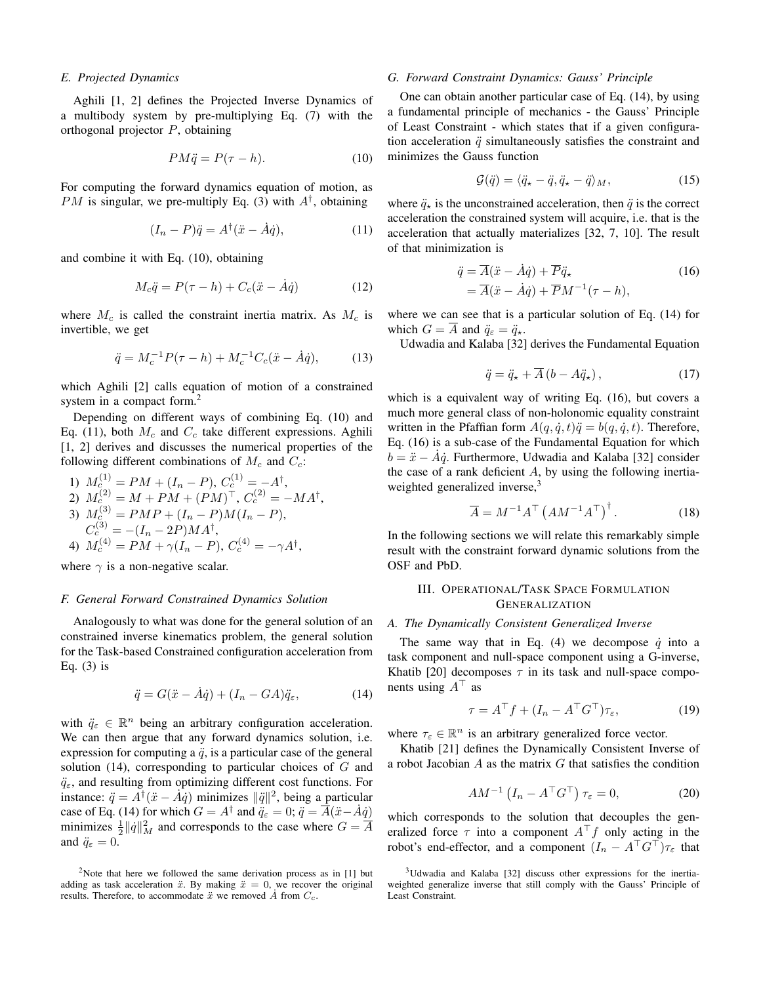#### E. Projected Dynamics

Aghili [1, 2] defines the Projected Inverse Dynamics of a multibody system by pre-multiplying Eq. (7) with the orthogonal projector  $P$ , obtaining

$$
PM\ddot{q} = P(\tau - h). \tag{10}
$$

For computing the forward dynamics equation of motion, as *PM* is singular, we pre-multiply Eq. (3) with  $A^{\dagger}$ , obtaining

$$
(I_n - P)\ddot{q} = A^\dagger(\ddot{x} - \dot{A}\dot{q}),\tag{11}
$$

and combine it with Eq. (10), obtaining

$$
M_c \ddot{q} = P(\tau - h) + C_c(\ddot{x} - \dot{A}\dot{q}) \tag{12}
$$

where  $M_c$  is called the constraint inertia matrix. As  $M_c$  is invertible, we get

$$
\ddot{q} = M_c^{-1} P(\tau - h) + M_c^{-1} C_c(\ddot{x} - \dot{A}\dot{q}), \tag{13}
$$

which Aghili [2] calls equation of motion of a constrained system in a compact form. $2$ 

Depending on different ways of combining Eq. (10) and Eq. (11), both  $M_c$  and  $C_c$  take different expressions. Aghili [1, 2] derives and discusses the numerical properties of the following different combinations of  $M_c$  and  $C_c$ :

1) 
$$
M_c^{(1)} = PM + (I_n - P), C_c^{(1)} = -A^{\dagger},
$$
  
\n2)  $M_c^{(2)} = M + PM + (PM)^{\top}, C_c^{(2)} = -MA^{\dagger},$   
\n3)  $M_c^{(3)} = PMP + (I_n - P)M(I_n - P),$   
\n $C_c^{(3)} = -(I_n - 2P)MA^{\dagger},$   
\n4)  $M_c^{(4)} = PM + \gamma(I_n - P), C_c^{(4)} = -\gamma A^{\dagger},$ 

where  $\gamma$  is a non-negative scalar.

#### F. General Forward Constrained Dynamics Solution

Analogously to what was done for the general solution of an constrained inverse kinematics problem, the general solution for the Task-based Constrained configuration acceleration from Eq.  $(3)$  is

$$
\ddot{q} = G(\ddot{x} - \dot{A}\dot{q}) + (I_n - GA)\ddot{q}_{\varepsilon},\tag{14}
$$

with  $\ddot{q}_{\varepsilon} \in \mathbb{R}^n$  being an arbitrary configuration acceleration. We can then argue that any forward dynamics solution, i.e. expression for computing a  $\ddot{q}$ , is a particular case of the general solution  $(14)$ , corresponding to particular choices of G and  $\ddot{q}_{\varepsilon}$ , and resulting from optimizing different cost functions. For instance:  $\ddot{q} = A^{\dagger}(\ddot{x} - A\dot{q})$  minimizes  $\|\ddot{q}\|^2$ , being a particular case of Eq. (14) for which  $G = A^{\dagger}$  and  $\ddot{q}_{\varepsilon} = 0$ ;  $\ddot{q} = \overline{A}(\ddot{x} - \dot{A}\dot{q})$ minimizes  $\frac{1}{2} ||\dot{q}||_M^2$  and corresponds to the case where  $G = A$ and  $\ddot{q}_{\varepsilon} = 0$ .

#### G. Forward Constraint Dynamics: Gauss' Principle

One can obtain another particular case of Eq. (14), by using a fundamental principle of mechanics - the Gauss' Principle of Least Constraint - which states that if a given configuration acceleration  $\ddot{q}$  simultaneously satisfies the constraint and minimizes the Gauss function

$$
\mathcal{G}(\ddot{q}) = \langle \ddot{q}_\star - \ddot{q}, \ddot{q}_\star - \ddot{q} \rangle_M, \tag{15}
$$

where  $\ddot{q}_\star$  is the unconstrained acceleration, then  $\ddot{q}$  is the correct acceleration the constrained system will acquire, i.e. that is the acceleration that actually materializes [32, 7, 10]. The result of that minimization is

$$
\ddot{q} = \overline{A}(\ddot{x} - \dot{A}\dot{q}) + \overline{P}\ddot{q}_\star
$$
  
=  $\overline{A}(\ddot{x} - \dot{A}\dot{q}) + \overline{P}M^{-1}(\tau - h),$  (16)

where we can see that is a particular solution of Eq. (14) for which  $G = \overline{A}$  and  $\ddot{q}_{\varepsilon} = \ddot{q}_{\star}$ .

Udwadia and Kalaba [32] derives the Fundamental Equation

$$
\ddot{q} = \ddot{q}_{\star} + \overline{A} \left( b - A \ddot{q}_{\star} \right), \tag{17}
$$

which is a equivalent way of writing Eq. (16), but covers a much more general class of non-holonomic equality constraint written in the Pfaffian form  $A(q, \dot{q}, t)\ddot{q} = b(q, \dot{q}, t)$ . Therefore, Eq. (16) is a sub-case of the Fundamental Equation for which  $b = \ddot{x} - A\dot{q}$ . Furthermore, Udwadia and Kalaba [32] consider the case of a rank deficient  $A$ , by using the following inertiaweighted generalized inverse,<sup>3</sup>

$$
\overline{A} = M^{-1}A^{\top} \left( A M^{-1} A^{\top} \right)^{\dagger} . \tag{18}
$$

In the following sections we will relate this remarkably simple result with the constraint forward dynamic solutions from the OSF and PbD.

## III. OPERATIONAL/TASK SPACE FORMULATION **GENERALIZATION**

## A. The Dynamically Consistent Generalized Inverse

The same way that in Eq. (4) we decompose  $\dot{q}$  into a task component and null-space component using a G-inverse, Khatib [20] decomposes  $\tau$  in its task and null-space components using  $A^{\top}$  as

$$
\tau = A^{\top} f + (I_n - A^{\top} G^{\top}) \tau_{\varepsilon}, \tag{19}
$$

where  $\tau_{\varepsilon} \in \mathbb{R}^n$  is an arbitrary generalized force vector.

Khatib [21] defines the Dynamically Consistent Inverse of a robot Jacobian  $A$  as the matrix  $G$  that satisfies the condition

$$
AM^{-1}\left(I_n - A^\top G^\top\right)\tau_\varepsilon = 0,\tag{20}
$$

which corresponds to the solution that decouples the generalized force  $\tau$  into a component  $A^{\top}f$  only acting in the robot's end-effector, and a component  $(I_n - A^\top G^\top)\tau_{\varepsilon}$  that

<sup>&</sup>lt;sup>2</sup>Note that here we followed the same derivation process as in  $[1]$  but adding as task acceleration  $\ddot{x}$ . By making  $\ddot{x} = 0$ , we recover the original results. Therefore, to accommodate  $\ddot{x}$  we removed  $\dot{A}$  from  $C_c$ .

<sup>&</sup>lt;sup>3</sup>Udwadia and Kalaba [32] discuss other expressions for the inertiaweighted generalize inverse that still comply with the Gauss' Principle of Least Constraint.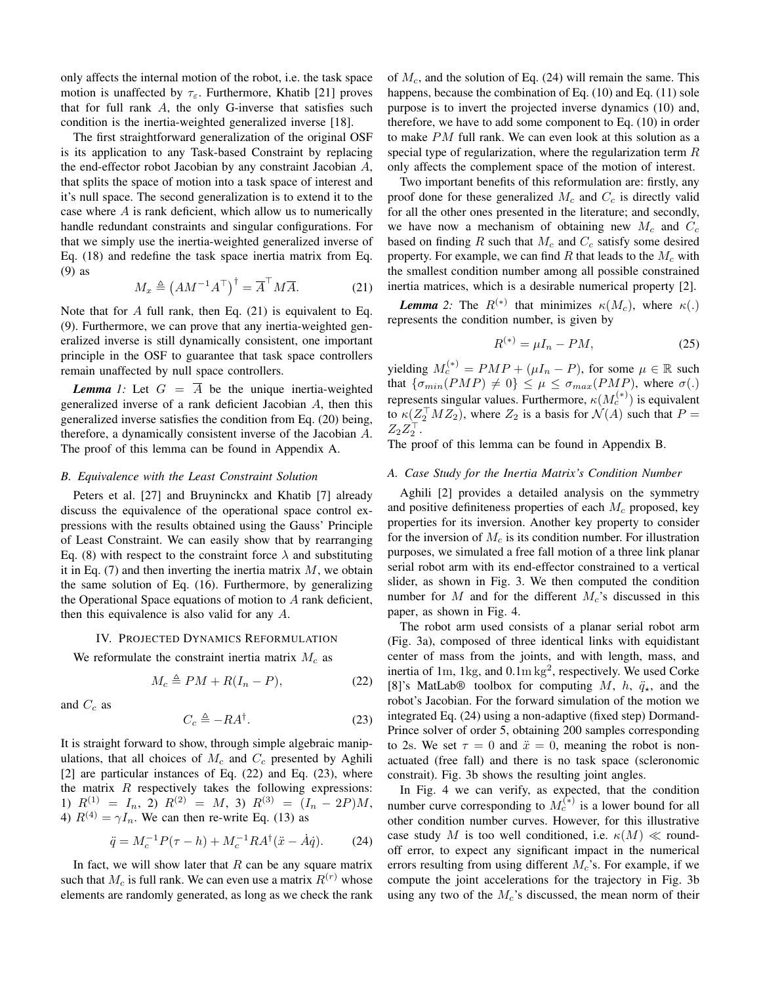only affects the internal motion of the robot, *i.e.* the task space motion is unaffected by  $\tau_{\varepsilon}$ . Furthermore, Khatib [21] proves that for full rank  $A$ , the only G-inverse that satisfies such condition is the inertia-weighted generalized inverse [18].

The first straightforward generalization of the original OSF is its application to any Task-based Constraint by replacing the end-effector robot Jacobian by any constraint Jacobian  $A$ , that splits the space of motion into a task space of interest and it's null space. The second generalization is to extend it to the case where  $A$  is rank deficient, which allow us to numerically handle redundant constraints and singular configurations. For that we simply use the inertia-weighted generalized inverse of Eq.  $(18)$  and redefine the task space inertia matrix from Eq.  $(9)$  as

$$
M_x \triangleq \left(AM^{-1}A^{\top}\right)^{\dagger} = \overline{A}^{\top}M\overline{A}.
$$
 (21)

Note that for A full rank, then Eq.  $(21)$  is equivalent to Eq. (9). Furthermore, we can prove that any inertia-weighted generalized inverse is still dynamically consistent, one important principle in the OSF to guarantee that task space controllers remain unaffected by null space controllers.

**Lemma** 1: Let  $G = \overline{A}$  be the unique inertia-weighted generalized inverse of a rank deficient Jacobian A, then this generalized inverse satisfies the condition from Eq. (20) being, therefore, a dynamically consistent inverse of the Jacobian A. The proof of this lemma can be found in Appendix A.

#### B. Equivalence with the Least Constraint Solution

Peters et al. [27] and Bruyninckx and Khatib [7] already discuss the equivalence of the operational space control expressions with the results obtained using the Gauss' Principle of Least Constraint. We can easily show that by rearranging Eq. (8) with respect to the constraint force  $\lambda$  and substituting it in Eq.  $(7)$  and then inverting the inertia matrix M, we obtain the same solution of Eq. (16). Furthermore, by generalizing the Operational Space equations of motion to A rank deficient, then this equivalence is also valid for any  $A$ .

#### IV. PROJECTED DYNAMICS REFORMULATION

We reformulate the constraint inertia matrix  $M_c$  as

$$
M_c \triangleq PM + R(I_n - P),\tag{22}
$$

and  $C_c$  as

$$
C_c \triangleq -RA^{\dagger}.
$$
 (23)

It is straight forward to show, through simple algebraic manipulations, that all choices of  $M_c$  and  $C_c$  presented by Aghili [2] are particular instances of Eq.  $(22)$  and Eq.  $(23)$ , where the matrix  $R$  respectively takes the following expressions: 1)  $R^{(1)} = I_n$ , 2)  $R^{(2)} = M$ , 3)  $R^{(3)} = (I_n - 2P)M$ , 4)  $R^{(4)} = \gamma I_n$ . We can then re-write Eq. (13) as

$$
\ddot{q} = M_c^{-1} P(\tau - h) + M_c^{-1} R A^{\dagger} (\ddot{x} - \dot{A} \dot{q}).
$$
 (24)

In fact, we will show later that  $R$  can be any square matrix such that  $M_c$  is full rank. We can even use a matrix  $R^{(r)}$  whose elements are randomly generated, as long as we check the rank of  $M_c$ , and the solution of Eq. (24) will remain the same. This happens, because the combination of Eq.  $(10)$  and Eq.  $(11)$  sole purpose is to invert the projected inverse dynamics (10) and, therefore, we have to add some component to Eq.  $(10)$  in order to make  $PM$  full rank. We can even look at this solution as a special type of regularization, where the regularization term  $R$ only affects the complement space of the motion of interest.

Two important benefits of this reformulation are: firstly, any proof done for these generalized  $M_c$  and  $C_c$  is directly valid for all the other ones presented in the literature; and secondly, we have now a mechanism of obtaining new  $M_c$  and  $C_c$ based on finding R such that  $M_c$  and  $C_c$  satisfy some desired property. For example, we can find R that leads to the  $M_c$  with the smallest condition number among all possible constrained inertia matrices, which is a desirable numerical property [2].

**Lemma** 2: The  $R^{(*)}$  that minimizes  $\kappa(M_c)$ , where  $\kappa(.)$ represents the condition number, is given by

$$
R^{(*)} = \mu I_n - PM,\tag{25}
$$

yielding  $M_c^{(*)} = PMP + (\mu I_n - P)$ , for some  $\mu \in \mathbb{R}$  such that  $\{\sigma_{min}(PMP) \neq 0\} \leq \mu \leq \sigma_{max}(PMP)$ , where  $\sigma(.)$ represents singular values. Furthermore,  $\kappa(M_c^{(*)})$  is equivalent to  $\kappa(Z_2^{\top} M Z_2)$ , where  $Z_2$  is a basis for  $\mathcal{N}(A)$  such that  $P =$  $Z_2Z_2^{\perp}$ .

The proof of this lemma can be found in Appendix B.

## A. Case Study for the Inertia Matrix's Condition Number

Aghili [2] provides a detailed analysis on the symmetry and positive definiteness properties of each  $M_c$  proposed, key properties for its inversion. Another key property to consider for the inversion of  $M_c$  is its condition number. For illustration purposes, we simulated a free fall motion of a three link planar serial robot arm with its end-effector constrained to a vertical slider, as shown in Fig. 3. We then computed the condition number for M and for the different  $M_c$ 's discussed in this paper, as shown in Fig. 4.

The robot arm used consists of a planar serial robot arm (Fig. 3a), composed of three identical links with equidistant center of mass from the joints, and with length, mass, and inertia of 1m, 1kg, and  $0.1 \text{m kg}^2$ , respectively. We used Corke [8]'s MatLab® toolbox for computing M, h,  $\ddot{q}_\star$ , and the robot's Jacobian. For the forward simulation of the motion we integrated Eq. (24) using a non-adaptive (fixed step) Dormand-Prince solver of order 5, obtaining 200 samples corresponding to 2s. We set  $\tau = 0$  and  $\ddot{x} = 0$ , meaning the robot is nonactuated (free fall) and there is no task space (scleronomic constrait). Fig. 3b shows the resulting joint angles.

In Fig. 4 we can verify, as expected, that the condition number curve corresponding to  $M_c^{(*)}$  is a lower bound for all other condition number curves. However, for this illustrative case study M is too well conditioned, i.e.  $\kappa(M) \ll$  roundoff error, to expect any significant impact in the numerical errors resulting from using different  $M_c$ 's. For example, if we compute the joint accelerations for the trajectory in Fig. 3b using any two of the  $M_c$ 's discussed, the mean norm of their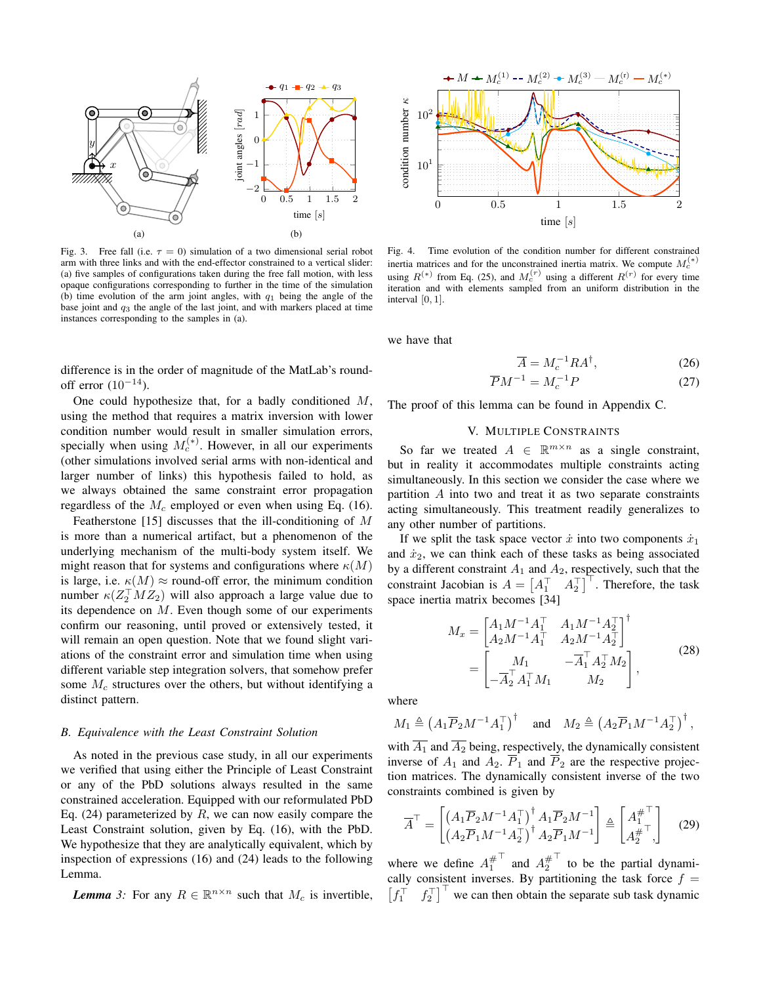

Fig. 3. Free fall (i.e.  $\tau = 0$ ) simulation of a two dimensional serial robot arm with three links and with the end-effector constrained to a vertical slider: (a) five samples of configurations taken during the free fall motion, with less opaque configurations corresponding to further in the time of the simulation (b) time evolution of the arm joint angles, with  $q_1$  being the angle of the base joint and  $q_3$  the angle of the last joint, and with markers placed at time instances corresponding to the samples in (a).

difference is in the order of magnitude of the MatLab's roundoff error  $(10^{-14})$ .

One could hypothesize that, for a badly conditioned  $M$ , using the method that requires a matrix inversion with lower condition number would result in smaller simulation errors, specially when using  $M_c^{(*)}$ . However, in all our experiments (other simulations involved serial arms with non-identical and larger number of links) this hypothesis failed to hold, as we always obtained the same constraint error propagation regardless of the  $M_c$  employed or even when using Eq. (16).

Featherstone [15] discusses that the ill-conditioning of  $M$ is more than a numerical artifact, but a phenomenon of the underlying mechanism of the multi-body system itself. We might reason that for systems and configurations where  $\kappa(M)$ is large, i.e.  $\kappa(M) \approx$  round-off error, the minimum condition number  $\kappa(Z_2^\top M Z_2)$  will also approach a large value due to its dependence on  $M$ . Even though some of our experiments confirm our reasoning, until proved or extensively tested, it will remain an open question. Note that we found slight variations of the constraint error and simulation time when using different variable step integration solvers, that somehow prefer some  $M_c$  structures over the others, but without identifying a distinct pattern.

## B. Equivalence with the Least Constraint Solution

As noted in the previous case study, in all our experiments we verified that using either the Principle of Least Constraint or any of the PbD solutions always resulted in the same constrained acceleration. Equipped with our reformulated PbD Eq. (24) parameterized by  $R$ , we can now easily compare the Least Constraint solution, given by Eq. (16), with the PbD. We hypothesize that they are analytically equivalent, which by inspection of expressions  $(16)$  and  $(24)$  leads to the following Lemma.

**Lemma** 3: For any  $R \in \mathbb{R}^{n \times n}$  such that  $M_c$  is invertible,



Fig. 4. Time evolution of the condition number for different constrained inertia matrices and for the unconstrained inertia matrix. We compute  $M_c^{(*)}$ using  $R^{(*)}$  from Eq. (25), and  $M_c^{(r)}$  using a different  $R^{(r)}$  for every time iteration and with elements sampled from an uniform distribution in the interval  $[0, 1]$ .

we have that

$$
\overline{A} = M_c^{-1} R A^\dagger,\tag{26}
$$

$$
\overline{P}M^{-1} = M_c^{-1}P\tag{27}
$$

The proof of this lemma can be found in Appendix C.

## V. MULTIPLE CONSTRAINTS

So far we treated  $A \in \mathbb{R}^{m \times n}$  as a single constraint, but in reality it accommodates multiple constraints acting simultaneously. In this section we consider the case where we partition  $A$  into two and treat it as two separate constraints acting simultaneously. This treatment readily generalizes to any other number of partitions.

If we split the task space vector  $\dot{x}$  into two components  $\dot{x}_1$ and  $\dot{x}_2$ , we can think each of these tasks as being associated by a different constraint  $A_1$  and  $A_2$ , respectively, such that the constraint Jacobian is  $A = \begin{bmatrix} A_1^\top & A_2^\top \end{bmatrix}^\top$ . Therefore, the task space inertia matrix becomes [34]

$$
M_x = \begin{bmatrix} A_1 M^{-1} A_1^{\top} & A_1 M^{-1} A_2^{\top} \\ A_2 M^{-1} A_1^{\top} & A_2 M^{-1} A_2^{\top} \end{bmatrix}^{\dagger} = \begin{bmatrix} M_1 & -\overline{A}_1^{\top} A_2^{\top} M_2 \\ -\overline{A}_2^{\top} A_1^{\top} M_1 & M_2 \end{bmatrix},
$$
(28)

where

$$
M_1 \triangleq \left(A_1 \overline{P}_2 M^{-1} A_1^\top\right)^\dagger \quad \text{and} \quad M_2 \triangleq \left(A_2 \overline{P}_1 M^{-1} A_2^\top\right)^\dagger,
$$

with  $\overline{A_1}$  and  $\overline{A_2}$  being, respectively, the dynamically consistent inverse of  $A_1$  and  $A_2$ .  $\overline{P}_1$  and  $\overline{P}_2$  are the respective projection matrices. The dynamically consistent inverse of the two constraints combined is given by

$$
\overline{A}^{\top} = \begin{bmatrix} \left( A_1 \overline{P}_2 M^{-1} A_1^{\top} \right)^{\dagger} A_1 \overline{P}_2 M^{-1} \\ \left( A_2 \overline{P}_1 M^{-1} A_2^{\top} \right)^{\dagger} A_2 \overline{P}_1 M^{-1} \end{bmatrix} \triangleq \begin{bmatrix} A_1^{\# \top} \\ A_2^{\# \top} \end{bmatrix} \tag{29}
$$

where we define  $A_1^{\#^{\top}}$  and  $A_2^{\#^{\top}}$  to be the partial dynamically consistent inverses. By partitioning the task force  $f =$  $\begin{bmatrix} f_1^\top & f_2^\top \end{bmatrix}^\top$  we can then obtain the separate sub task dynamic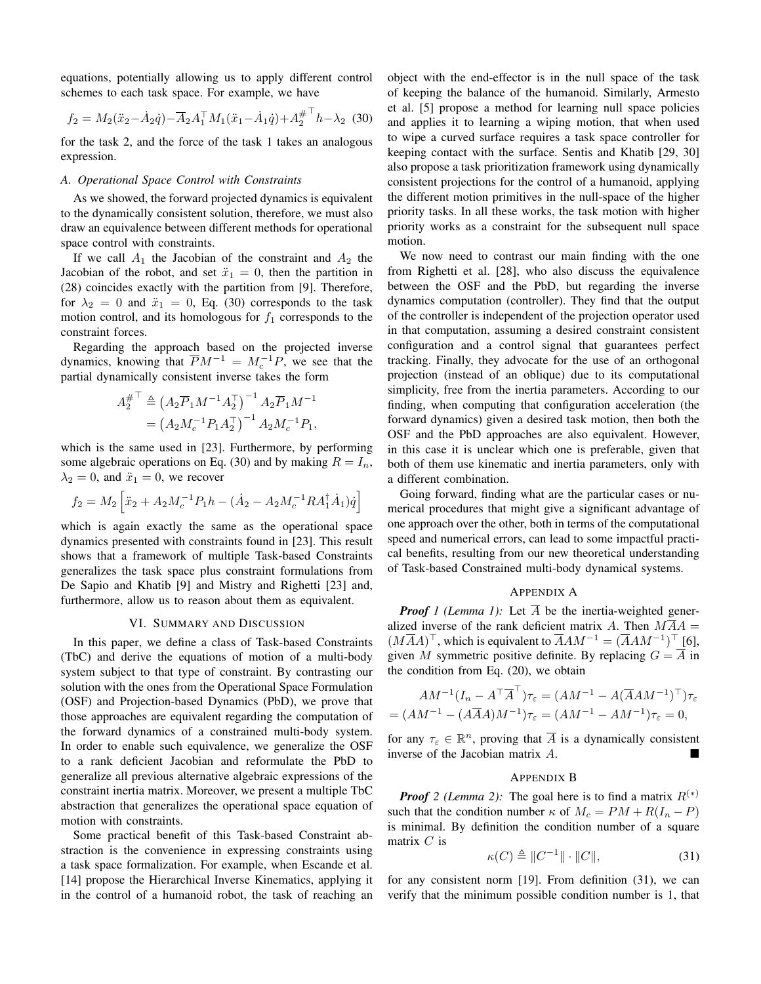equations, potentially allowing us to apply different control schemes to each task space. For example, we have

$$
f_2 = M_2(\ddot{x}_2 - \dot{A}_2 \dot{q}) - \overline{A}_2 A_1^\top M_1(\ddot{x}_1 - \dot{A}_1 \dot{q}) + A_2^{\# \top} h - \lambda_2
$$
 (30)

for the task 2, and the force of the task 1 takes an analogous expression.

## A. Operational Space Control with Constraints

As we showed, the forward projected dynamics is equivalent to the dynamically consistent solution, therefore, we must also draw an equivalence between different methods for operational space control with constraints.

If we call  $A_1$  the Jacobian of the constraint and  $A_2$  the Jacobian of the robot, and set  $\ddot{x}_1 = 0$ , then the partition in (28) coincides exactly with the partition from [9]. Therefore, for  $\lambda_2 = 0$  and  $\ddot{x}_1 = 0$ , Eq. (30) corresponds to the task motion control, and its homologous for  $f_1$  corresponds to the constraint forces.

Regarding the approach based on the projected inverse dynamics, knowing that  $\overline{P}M^{-1} = M_c^{-1}P$ , we see that the partial dynamically consistent inverse takes the form

$$
A_2^{\#^{\top}} \triangleq (A_2 \overline{P}_1 M^{-1} A_2^{\top})^{-1} A_2 \overline{P}_1 M^{-1}
$$
  
=  $(A_2 M_c^{-1} P_1 A_2^{\top})^{-1} A_2 M_c^{-1} P_1$ ,

which is the same used in [23]. Furthermore, by performing some algebraic operations on Eq. (30) and by making  $R = I_n$ ,  $\lambda_2 = 0$ , and  $\ddot{x}_1 = 0$ , we recover

$$
f_2 = M_2 \left[ \ddot{x}_2 + A_2 M_c^{-1} P_1 h - (\dot{A}_2 - A_2 M_c^{-1} R A_1^{\dagger} \dot{A}_1) \dot{q} \right]
$$

which is again exactly the same as the operational space dynamics presented with constraints found in [23]. This result shows that a framework of multiple Task-based Constraints generalizes the task space plus constraint formulations from De Sapio and Khatib [9] and Mistry and Righetti [23] and, furthermore, allow us to reason about them as equivalent.

## VI. SUMMARY AND DISCUSSION

In this paper, we define a class of Task-based Constraints (TbC) and derive the equations of motion of a multi-body system subject to that type of constraint. By contrasting our solution with the ones from the Operational Space Formulation (OSF) and Projection-based Dynamics (PbD), we prove that those approaches are equivalent regarding the computation of the forward dynamics of a constrained multi-body system. In order to enable such equivalence, we generalize the OSF to a rank deficient Jacobian and reformulate the PbD to generalize all previous alternative algebraic expressions of the constraint inertia matrix. Moreover, we present a multiple TbC abstraction that generalizes the operational space equation of motion with constraints.

Some practical benefit of this Task-based Constraint abstraction is the convenience in expressing constraints using a task space formalization. For example, when Escande et al. [14] propose the Hierarchical Inverse Kinematics, applying it in the control of a humanoid robot, the task of reaching an object with the end-effector is in the null space of the task of keeping the balance of the humanoid. Similarly, Armesto et al. [5] propose a method for learning null space policies and applies it to learning a wiping motion, that when used to wipe a curved surface requires a task space controller for keeping contact with the surface. Sentis and Khatib [29, 30] also propose a task prioritization framework using dynamically consistent projections for the control of a humanoid, applying the different motion primitives in the null-space of the higher priority tasks. In all these works, the task motion with higher priority works as a constraint for the subsequent null space motion.

We now need to contrast our main finding with the one from Righetti et al. [28], who also discuss the equivalence between the OSF and the PbD, but regarding the inverse dynamics computation (controller). They find that the output of the controller is independent of the projection operator used in that computation, assuming a desired constraint consistent configuration and a control signal that guarantees perfect tracking. Finally, they advocate for the use of an orthogonal projection (instead of an oblique) due to its computational simplicity, free from the inertia parameters. According to our finding, when computing that configuration acceleration (the forward dynamics) given a desired task motion, then both the OSF and the PbD approaches are also equivalent. However, in this case it is unclear which one is preferable, given that both of them use kinematic and inertia parameters, only with a different combination.

Going forward, finding what are the particular cases or numerical procedures that might give a significant advantage of one approach over the other, both in terms of the computational speed and numerical errors, can lead to some impactful practical benefits, resulting from our new theoretical understanding of Task-based Constrained multi-body dynamical systems.

## **APPENDIX A**

**Proof** 1 (Lemma 1): Let  $\overline{A}$  be the inertia-weighted generalized inverse of the rank deficient matrix A. Then  $M\overline{A}A =$  $(M\overline{A}A)^{\top}$ , which is equivalent to  $\overline{A}AM^{-1} = (\overline{A}AM^{-1})^{\top}$  [6], given M symmetric positive definite. By replacing  $G = \overline{A}$  in the condition from Eq.  $(20)$ , we obtain

$$
AM^{-1}(I_n - A^\top \overline{A}^\top)\tau_{\varepsilon} = (AM^{-1} - A(\overline{A}AM^{-1})^\top)\tau_{\varepsilon}
$$

$$
= (AM^{-1} - (A\overline{A}A)M^{-1})\tau_{\varepsilon} = (AM^{-1} - AM^{-1})\tau_{\varepsilon} = 0,
$$

for any  $\tau_{\varepsilon} \in \mathbb{R}^n$ , proving that  $\overline{A}$  is a dynamically consistent inverse of the Jacobian matrix A.

## **APPENDIX B**

**Proof** 2 (Lemma 2): The goal here is to find a matrix  $R^{(*)}$ such that the condition number  $\kappa$  of  $M_c = PM + R(I_n - P)$ is minimal. By definition the condition number of a square matrix  $C$  is

$$
\kappa(C) \triangleq \|C^{-1}\| \cdot \|C\|,\tag{31}
$$

for any consistent norm [19]. From definition (31), we can verify that the minimum possible condition number is 1, that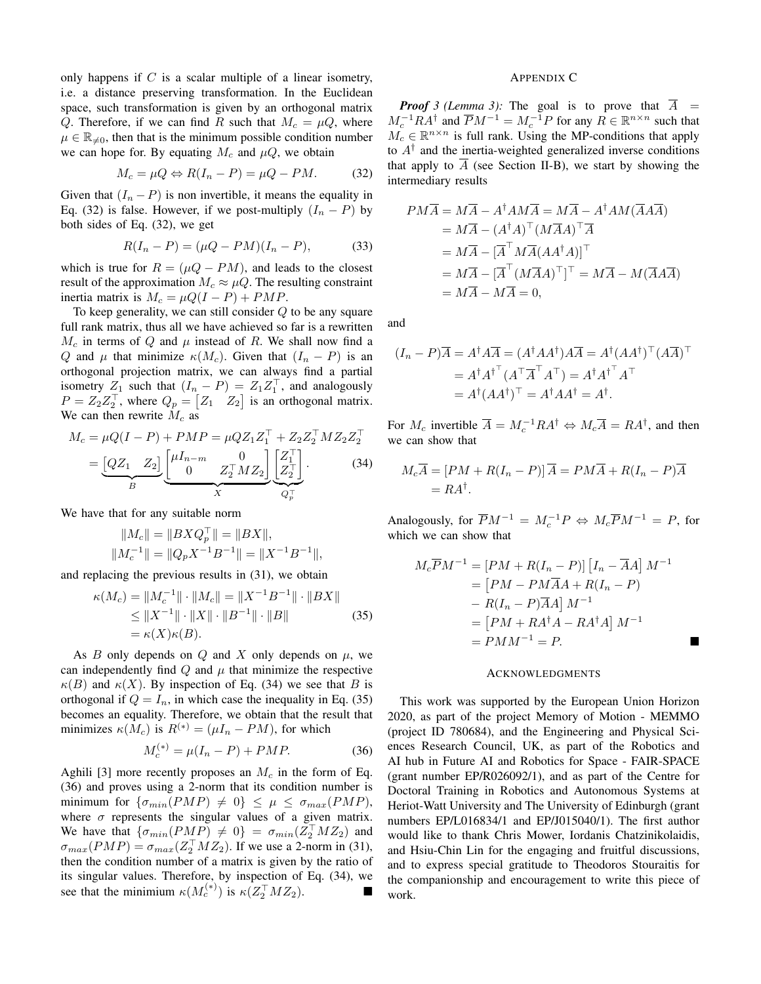only happens if  $C$  is a scalar multiple of a linear isometry, i.e. a distance preserving transformation. In the Euclidean space, such transformation is given by an orthogonal matrix Q. Therefore, if we can find R such that  $M_c = \mu Q$ , where  $\mu \in \mathbb{R}_{\neq 0}$ , then that is the minimum possible condition number we can hope for. By equating  $M_c$  and  $\mu Q$ , we obtain

$$
M_c = \mu Q \Leftrightarrow R(I_n - P) = \mu Q - PM. \tag{32}
$$

Given that  $(I_n - P)$  is non invertible, it means the equality in Eq. (32) is false. However, if we post-multiply  $(I_n - P)$  by both sides of Eq. (32), we get

$$
R(I_n - P) = (\mu Q - PM)(I_n - P),
$$
 (33)

which is true for  $R = (\mu Q - PM)$ , and leads to the closest result of the approximation  $M_c \approx \mu Q$ . The resulting constraint inertia matrix is  $M_c = \mu Q(I - P) + PMP$ .

To keep generality, we can still consider  $Q$  to be any square full rank matrix, thus all we have achieved so far is a rewritten  $M_c$  in terms of Q and  $\mu$  instead of R. We shall now find a Q and  $\mu$  that minimize  $\kappa(M_c)$ . Given that  $(I_n - P)$  is an orthogonal projection matrix, we can always find a partial isometry  $Z_1$  such that  $(I_n - P) = Z_1 Z_1^T$ , and analogously  $P = Z_2 Z_2^{\perp}$ , where  $Q_p = \begin{bmatrix} Z_1 & Z_2 \end{bmatrix}$  is an orthogonal matrix. We can then rewrite  $M_c$  as

$$
M_c = \mu Q(I - P) + PMP = \mu Q Z_1 Z_1^{\top} + Z_2 Z_2^{\top} M Z_2 Z_2^{\top}
$$
  
=  $\underbrace{[QZ_1 \quad Z_2]}_{B} \underbrace{[H_{n-m} \quad 0}_{Z_2^{\top} M Z_2]} \underbrace{Z_2^{\top}}_{Q_2^{\top}} \underbrace{Z_2^{\top}}_{Q_p^{\top}}.$  (34)

We have that for any suitable norm

$$
||M_c|| = ||BXQ_p^{\perp}|| = ||BX||,
$$
  

$$
||M_c^{-1}|| = ||Q_pX^{-1}B^{-1}|| = ||X^{-1}B^{-1}||,
$$

and replacing the previous results in  $(31)$ , we obtain

$$
\kappa(M_c) = \|M_c^{-1}\| \cdot \|M_c\| = \|X^{-1}B^{-1}\| \cdot \|BX\|
$$
  
\n
$$
\le \|X^{-1}\| \cdot \|X\| \cdot \|B^{-1}\| \cdot \|B\|
$$
  
\n
$$
= \kappa(X)\kappa(B).
$$
 (35)

As B only depends on Q and X only depends on  $\mu$ , we can independently find  $Q$  and  $\mu$  that minimize the respective  $\kappa(B)$  and  $\kappa(X)$ . By inspection of Eq. (34) we see that B is orthogonal if  $Q = I_n$ , in which case the inequality in Eq. (35) becomes an equality. Therefore, we obtain that the result that minimizes  $\kappa(M_c)$  is  $R^{(*)} = (\mu I_n - PM)$ , for which

$$
M_c^{(*)} = \mu(I_n - P) + PMP.
$$
 (36)

Aghili [3] more recently proposes an  $M_c$  in the form of Eq. (36) and proves using a 2-norm that its condition number is minimum for  $\{\sigma_{min}(PMP) \neq 0\} \leq \mu \leq \sigma_{max}(PMP)$ , where  $\sigma$  represents the singular values of a given matrix. We have that  $\{\sigma_{min}(PMP) \neq 0\} = \sigma_{min}(Z_2^{\dagger} M Z_2)$  and  $\sigma_{max}(PMP) = \sigma_{max}(Z_2^{\perp} M Z_2)$ . If we use a 2-norm in (31), then the condition number of a matrix is given by the ratio of its singular values. Therefore, by inspection of Eq. (34), we see that the minimium  $\kappa(M_c^{(*)})$  is  $\kappa(Z_2^{\top} M Z_2)$ .

#### **APPENDIX C**

**Proof** 3 (Lemma 3): The goal is to prove that  $\overline{A}$  =  $M_c^{-1}RA^{\dagger}$  and  $\overline{P}M^{-1}=M_c^{-1}P$  for any  $R \in \mathbb{R}^{n \times n}$  such that  $M_c \in \mathbb{R}^{n \times n}$  is full rank. Using the MP-conditions that apply to  $A^{\dagger}$  and the inertia-weighted generalized inverse conditions that apply to  $\overline{A}$  (see Section II-B), we start by showing the intermediary results

$$
PM\overline{A} = M\overline{A} - A^{\dagger}AM\overline{A} = M\overline{A} - A^{\dagger}AM(\overline{A}A\overline{A})
$$
  
=  $M\overline{A} - (A^{\dagger}A)^{\top}(M\overline{A}A)^{\top}\overline{A}$   
=  $M\overline{A} - [\overline{A}^{\top}M\overline{A}(AA^{\dagger}A)]^{\top}$   
=  $M\overline{A} - [\overline{A}^{\top}(M\overline{A}A)^{\top}]^{\top} = M\overline{A} - M(\overline{A}A\overline{A})$   
=  $M\overline{A} - M\overline{A} = 0$ ,

and

$$
(I_n - P)\overline{A} = A^{\dagger} A \overline{A} = (A^{\dagger} A A^{\dagger}) A \overline{A} = A^{\dagger} (A A^{\dagger})^{\top} (A \overline{A})^{\top}
$$

$$
= A^{\dagger} A^{\dagger} (\overline{A}^{\top} \overline{A}^{\top} A^{\top}) = A^{\dagger} A^{\dagger} \overline{A}^{\top}
$$

$$
= A^{\dagger} (A A^{\dagger})^{\top} = A^{\dagger} A A^{\dagger} = A^{\dagger}.
$$

For  $M_c$  invertible  $\overline{A} = M_c^{-1} R A^{\dagger} \Leftrightarrow M_c \overline{A} = R A^{\dagger}$ , and then we can show that

$$
M_c \overline{A} = [PM + R(I_n - P)] \overline{A} = PM\overline{A} + R(I_n - P)\overline{A}
$$

$$
= RA^{\dagger}.
$$

Analogously, for  $\overline{P}M^{-1} = M_c^{-1}P \Leftrightarrow M_c\overline{P}M^{-1} = P$ , for which we can show that

$$
M_c \overline{P} M^{-1} = [PM + R(I_n - P)] [I_n - \overline{A}A] M^{-1}
$$
  
= 
$$
[PM - PM\overline{A}A + R(I_n - P)]
$$
  

$$
- R(I_n - P)\overline{A}A] M^{-1}
$$
  
= 
$$
[PM + RA^{\dagger}A - RA^{\dagger}A] M^{-1}
$$
  
= 
$$
PMM^{-1} = P.
$$

#### **ACKNOWLEDGMENTS**

This work was supported by the European Union Horizon 2020, as part of the project Memory of Motion - MEMMO (project ID 780684), and the Engineering and Physical Sciences Research Council, UK, as part of the Robotics and AI hub in Future AI and Robotics for Space - FAIR-SPACE (grant number EP/R026092/1), and as part of the Centre for Doctoral Training in Robotics and Autonomous Systems at Heriot-Watt University and The University of Edinburgh (grant numbers EP/L016834/1 and EP/J015040/1). The first author would like to thank Chris Mower, Iordanis Chatzinikolaidis, and Hsiu-Chin Lin for the engaging and fruitful discussions, and to express special gratitude to Theodoros Stouraitis for the companionship and encouragement to write this piece of work.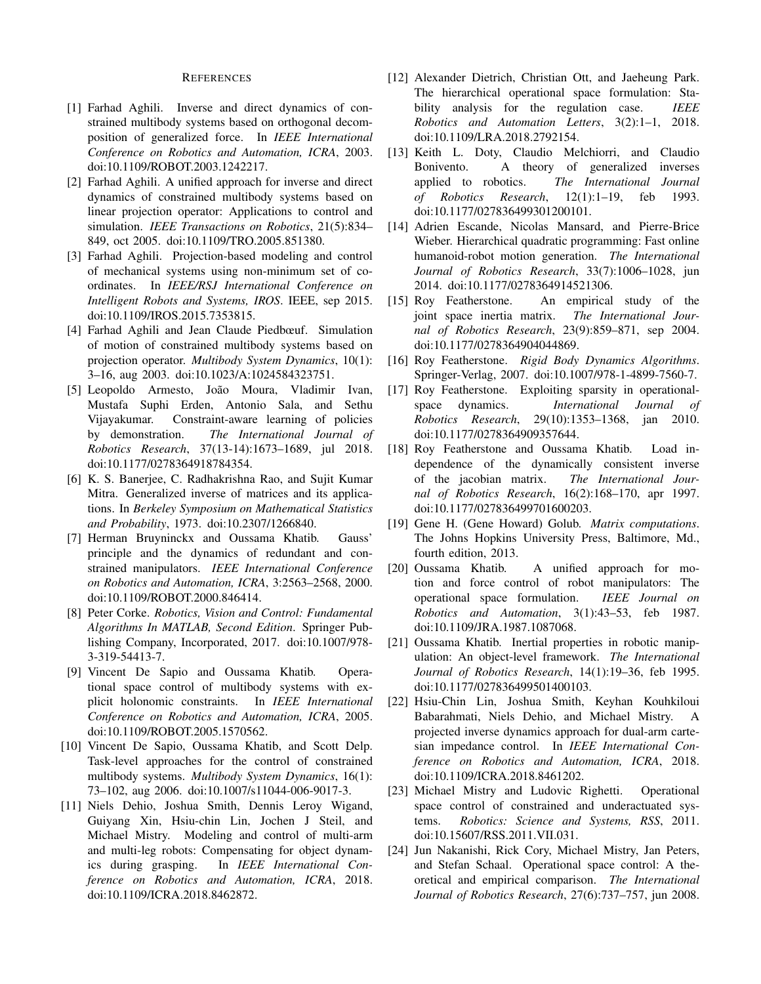#### **REFERENCES**

- [1] Farhad Aghili. Inverse and direct dynamics of constrained multibody systems based on orthogonal decomposition of generalized force. In IEEE International Conference on Robotics and Automation, ICRA, 2003. doi:10.1109/ROBOT.2003.1242217.
- [2] Farhad Aghili. A unified approach for inverse and direct dynamics of constrained multibody systems based on linear projection operator: Applications to control and simulation. IEEE Transactions on Robotics, 21(5):834– 849, oct 2005. doi:10.1109/TRO.2005.851380.
- [3] Farhad Aghili. Projection-based modeling and control of mechanical systems using non-minimum set of coordinates. In IEEE/RSJ International Conference on Intelligent Robots and Systems, IROS. IEEE, sep 2015. doi:10.1109/IROS.2015.7353815.
- [4] Farhad Aghili and Jean Claude Piedboeuf. Simulation of motion of constrained multibody systems based on projection operator. Multibody System Dynamics, 10(1): 3-16, aug 2003. doi:10.1023/A:1024584323751.
- [5] Leopoldo Armesto, João Moura, Vladimir Ivan, Mustafa Suphi Erden, Antonio Sala, and Sethu Vijayakumar. Constraint-aware learning of policies by demonstration. The International Journal of Robotics Research, 37(13-14):1673-1689, jul 2018. doi:10.1177/0278364918784354.
- [6] K. S. Banerjee, C. Radhakrishna Rao, and Sujit Kumar Mitra. Generalized inverse of matrices and its applications. In Berkeley Symposium on Mathematical Statistics and Probability, 1973. doi:10.2307/1266840.
- [7] Herman Bruyninckx and Oussama Khatib. Gauss' principle and the dynamics of redundant and constrained manipulators. IEEE International Conference on Robotics and Automation, ICRA, 3:2563-2568, 2000. doi:10.1109/ROBOT.2000.846414.
- [8] Peter Corke. Robotics, Vision and Control: Fundamental Algorithms In MATLAB, Second Edition. Springer Publishing Company, Incorporated, 2017. doi:10.1007/978-3-319-54413-7.
- [9] Vincent De Sapio and Oussama Khatib. Operational space control of multibody systems with explicit holonomic constraints. In IEEE International Conference on Robotics and Automation, ICRA, 2005. doi:10.1109/ROBOT.2005.1570562.
- [10] Vincent De Sapio, Oussama Khatib, and Scott Delp. Task-level approaches for the control of constrained multibody systems. Multibody System Dynamics, 16(1): 73-102, aug 2006. doi:10.1007/s11044-006-9017-3.
- [11] Niels Dehio, Joshua Smith, Dennis Leroy Wigand, Guiyang Xin, Hsiu-chin Lin, Jochen J Steil, and Michael Mistry. Modeling and control of multi-arm and multi-leg robots: Compensating for object dynamics during grasping. In IEEE International Conference on Robotics and Automation, ICRA, 2018. doi:10.1109/ICRA.2018.8462872.
- [12] Alexander Dietrich, Christian Ott, and Jaeheung Park. The hierarchical operational space formulation: Stability analysis for the regulation case. **IEEE** Robotics and Automation Letters, 3(2):1-1, 2018. doi:10.1109/LRA.2018.2792154.
- [13] Keith L. Doty, Claudio Melchiorri, and Claudio A theory of generalized Bonivento. inverses applied to robotics. The International Journal of Robotics Research,  $12(1):1-19$ , 1993. feb doi:10.1177/027836499301200101.
- [14] Adrien Escande, Nicolas Mansard, and Pierre-Brice Wieber. Hierarchical quadratic programming: Fast online humanoid-robot motion generation. The International Journal of Robotics Research, 33(7):1006–1028, jun 2014. doi:10.1177/0278364914521306.
- An empirical study of the [15] Roy Featherstone. joint space inertia matrix. The International Journal of Robotics Research, 23(9):859–871, sep 2004. doi:10.1177/0278364904044869.
- [16] Roy Featherstone. Rigid Body Dynamics Algorithms. Springer-Verlag, 2007. doi:10.1007/978-1-4899-7560-7.
- [17] Roy Featherstone. Exploiting sparsity in operationalspace dynamics. International Journal of Robotics Research, 29(10):1353-1368, jan 2010. doi:10.1177/0278364909357644.
- [18] Roy Featherstone and Oussama Khatib. Load independence of the dynamically consistent inverse of the jacobian matrix. The International Journal of Robotics Research, 16(2):168-170, apr 1997. doi:10.1177/027836499701600203.
- [19] Gene H. (Gene Howard) Golub. Matrix computations. The Johns Hopkins University Press, Baltimore, Md., fourth edition, 2013.
- [20] Oussama Khatib. A unified approach for motion and force control of robot manipulators: The operational space formulation. IEEE Journal on Robotics and Automation, 3(1):43-53, feb 1987. doi:10.1109/JRA.1987.1087068.
- Oussama Khatib. Inertial properties in robotic manip- $[21]$ ulation: An object-level framework. The International Journal of Robotics Research, 14(1):19-36, feb 1995. doi:10.1177/027836499501400103.
- $[22]$ Hsiu-Chin Lin, Joshua Smith, Keyhan Kouhkiloui Babarahmati, Niels Dehio, and Michael Mistry.  $\mathbf{A}$ projected inverse dynamics approach for dual-arm cartesian impedance control. In IEEE International Conference on Robotics and Automation, ICRA, 2018. doi:10.1109/ICRA.2018.8461202.
- [23] Michael Mistry and Ludovic Righetti. Operational space control of constrained and underactuated systems. Robotics: Science and Systems, RSS, 2011. doi:10.15607/RSS.2011.VII.031.
- $[24]$ Jun Nakanishi, Rick Cory, Michael Mistry, Jan Peters, and Stefan Schaal. Operational space control: A theoretical and empirical comparison. The International Journal of Robotics Research, 27(6):737-757, jun 2008.